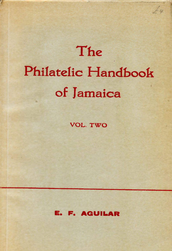# The **Philatelic Handbook of Jamaica**

 $\perp u$ 

**VOL. TWO** 

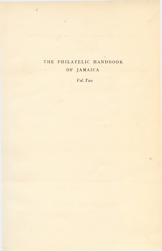### THE PHILATELIC HANDBOOK OF JAMAICA  $\overline{\phantom{a}}$

 $\bar{\mu}$ 

*Vol. Two*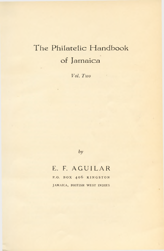# The Philatelic Handbook **of Jam aica**

*Vol. Two*

*by*

## **E. F. A G U I L A R**

P. O. BOX 406 KINGSTON JAMAICA, BRITISH WEST INDIES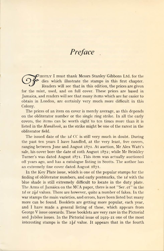## *Preface*

irstly I must thank Messrs Stanley Gibbons Ltd. for the dies which illustrate the stamps in this first chapter. Readers will see that in this edition, the prices are given for the mint, used, and on full cover. These prices are based in Jamaica, and readers will see that many items which are far easier to obtain in London, are certainly very much more difficult in this Colony.

The prices of an item on cover is merely average, as this depends on the obliterator number or the single ring strike. In all the early covers, the items can be worth eight to ten times more than it is listed in the *Handbook,* as the strike might be one of the rarest in the obliterator field.

The issued date of the *id* CC is still very much in doubt. During the past ten years I have handled, at the very least, five covers, ranging between June and August 1871. At auction, Mr Alex Watt's sale, his cover bore the date of 10th August 1872; while Mr Brinkley Turner's was dated August 1871. This item was actually auctioned off years ago, and has a catalogue listing in Scotts. The author has an extremely fine cover dated August 1871.

In the Key Plate issue, which is one of the popular stamps for the finding of obliterator numbers, and early postmarks, the *id* with the blue shade is still extremely difficult to locate in the duty plate. The Arms of Jamaica on the MCA paper, there is not " Ser .et" in the Id or  $2\frac{1}{2}d$  values. There are however, quite a number of fakes. In the war stamps the main varieties, and errors, have been listed but many more can be found. Booklets are getting more popular, each year, and I have made a general listing of these, which appears from George V issue onwards. These booklets are very rare in the Pictorial and Jubilee issues. In the Pictorial issue of 1919-21 one of the most interesting stamps is the  $1 \frac{1}{2} d$  value. It appears that in the fourth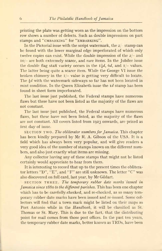printing the plate was getting worn as the impression on the bottom row shows a number of defects. Such as double impressions on part stamps and "CMBARKING" for "EMBARKING".

In the Pictorial issue with the script watermark, the  $2/-$  stamp can be found with the lower marginal edge imperforated of which only twelve copies can exist. While the double impression of the  $2/-$  and 10/- are both extremely scarce, and rare items. In the Jubilee issue the double flag staff variety occurs in the  $I_{\frac{1}{2}}d$ , 6*d*, and  $I$  – values. The latter being quite a scarce item. While the George VI issue the broken chimney in the  $1/-$  value is getting very difficult to locate. The  $\frac{1}{2}d$  with the watermark sideways so far has not been located in mint condition. In the Queen Elizabeth issue the  $Id$  stamp has been found in sheet form imperforated.

The last issue just published, the Federal stamps have numerous flaws but these have not been listed as the majority of the flaws are not constant.

The last issue just published, the Federal stamps have numerous flaws, but these have not been listed, as the majority of the flaws are not constant. All covers listed from 1923 onwards, are priced as first day of issue.

section two . *The obliterator numbers for Jamaica.* This chapter has been kindly prepared by Mr R. A. Gibson of the USA. It is a field which has always been very popular, and will give readers a very good idea of the number of stamps known on the different numbers, and also just exactly what items are missing.

Any collector having any of these stamps that might not be listed certainly would appreciate to hear from them.

It is interesting to record that up to the present times the obliterator letters "D", "E", and "F" are still unknown. The letter "C" was also discovered on full card, last year, by Mr Gildart.

section three . *The temporary rubber date marks issued in Jamaica since* 1880 *to the different parishes.* This has been one chapter which has to be carefully, checked, and re-checked, as so many temporary rubber date marks have been issued and re-issued. Some collectors will find that a town mark might be listed on their maps as Port Antonio while in the *Handbook,* it will be classified as St. Thomas or St. Mary. This is due to the fact, that the distributing point for mail comes from those post offices. In the past ten years, the temporary rubber date marks, better known as TRDs, have been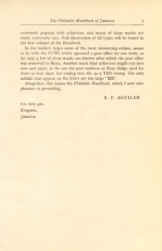extremely popular with collectors, and many of these marks are really extremely rare. Full illustration of all types will be found in the first volume of the *Handbook.*

In the modern types some of the most interesting strikes, seems to be with the UCWI which operated a post office for one week, so far only a few of these marks are known after which the post office was removed to Mona. Another mark that collectors might run into now and again, is the one the post mistress at Main Ridge used for three or four days, her sealing wax die, as a TRD stamp. The only initials that appear on the letter are the large "MR".

Altogether, this makes the *Philatelic Handbook,* which I now take pleasure in presenting.

### E. F. AGUILAR

P.O. BOX 406, *Kingston, Jamaica.*